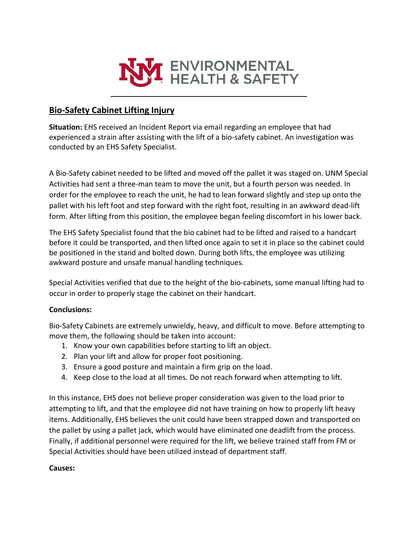

## **Bio-Safety Cabinet Lifting Injury**

**Situation:** EHS received an Incident Report via email regarding an employee that had experienced a strain after assisting with the lift of a bio-safety cabinet. An investigation was conducted by an EHS Safety Specialist.

A Bio-Safety cabinet needed to be lifted and moved off the pallet it was staged on. UNM Special Activities had sent a three-man team to move the unit, but a fourth person was needed. In order for the employee to reach the unit, he had to lean forward slightly and step up onto the pallet with his left foot and step forward with the right foot, resulting in an awkward dead-lift form. After lifting from this position, the employee began feeling discomfort in his lower back.

The EHS Safety Specialist found that the bio cabinet had to be lifted and raised to a handcart before it could be transported, and then lifted once again to set it in place so the cabinet could be positioned in the stand and bolted down. During both lifts, the employee was utilizing awkward posture and unsafe manual handling techniques.

Special Activities verified that due to the height of the bio-cabinets, some manual lifting had to occur in order to properly stage the cabinet on their handcart.

## **Conclusions:**

Bio-Safety Cabinets are extremely unwieldy, heavy, and difficult to move. Before attempting to move them, the following should be taken into account:

- 1. Know your own capabilities before starting to lift an object.
- 2. Plan your lift and allow for proper foot positioning.
- 3. Ensure a good posture and maintain a firm grip on the load.
- 4. Keep close to the load at all times. Do not reach forward when attempting to lift.

In this instance, EHS does not believe proper consideration was given to the load prior to attempting to lift, and that the employee did not have training on how to properly lift heavy items. Additionally, EHS believes the unit could have been strapped down and transported on the pallet by using a pallet jack, which would have eliminated one deadlift from the process. Finally, if additional personnel were required for the lift, we believe trained staff from FM or Special Activities should have been utilized instead of department staff.

## **Causes:**